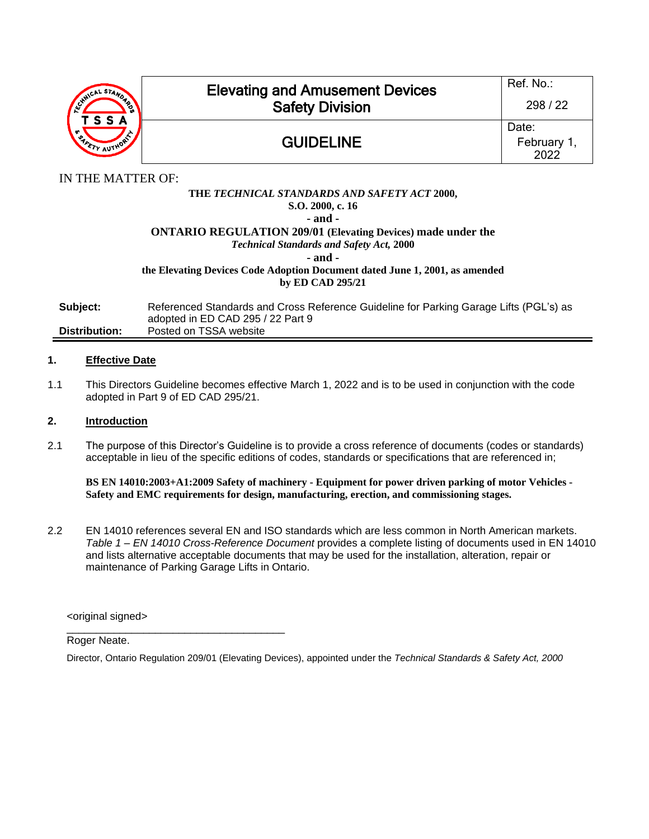

# Elevating and Amusement Devices Safety Division

## GUIDELINE

IN THE MATTER OF:

### **THE** *TECHNICAL STANDARDS AND SAFETY ACT* **2000, S.O. 2000, c. 16 - and - ONTARIO REGULATION 209/01 (Elevating Devices) made under the** *Technical Standards and Safety Act,* **2000**

**- and -**

**the Elevating Devices Code Adoption Document dated June 1, 2001, as amended by ED CAD 295/21**

**Subject:** Referenced Standards and Cross Reference Guideline for Parking Garage Lifts (PGL's) as adopted in ED CAD 295 / 22 Part 9 **Distribution:** Posted on TSSA website

#### **1. Effective Date**

1.1 This Directors Guideline becomes effective March 1, 2022 and is to be used in conjunction with the code adopted in Part 9 of ED CAD 295/21.

#### **2. Introduction**

2.1 The purpose of this Director's Guideline is to provide a cross reference of documents (codes or standards) acceptable in lieu of the specific editions of codes, standards or specifications that are referenced in;

**BS EN 14010:2003+A1:2009 Safety of machinery - Equipment for power driven parking of motor Vehicles - Safety and EMC requirements for design, manufacturing, erection, and commissioning stages.**

2.2 EN 14010 references several EN and ISO standards which are less common in North American markets. *Table 1 – EN 14010 Cross-Reference Document* provides a complete listing of documents used in EN 14010 and lists alternative acceptable documents that may be used for the installation, alteration, repair or maintenance of Parking Garage Lifts in Ontario.

<original signed>

\_\_\_\_\_\_\_\_\_\_\_\_\_\_\_\_\_\_\_\_\_\_\_\_\_\_\_\_\_\_\_\_\_\_\_\_\_

Roger Neate.

Director, Ontario Regulation 209/01 (Elevating Devices), appointed under the *Technical Standards & Safety Act, 2000*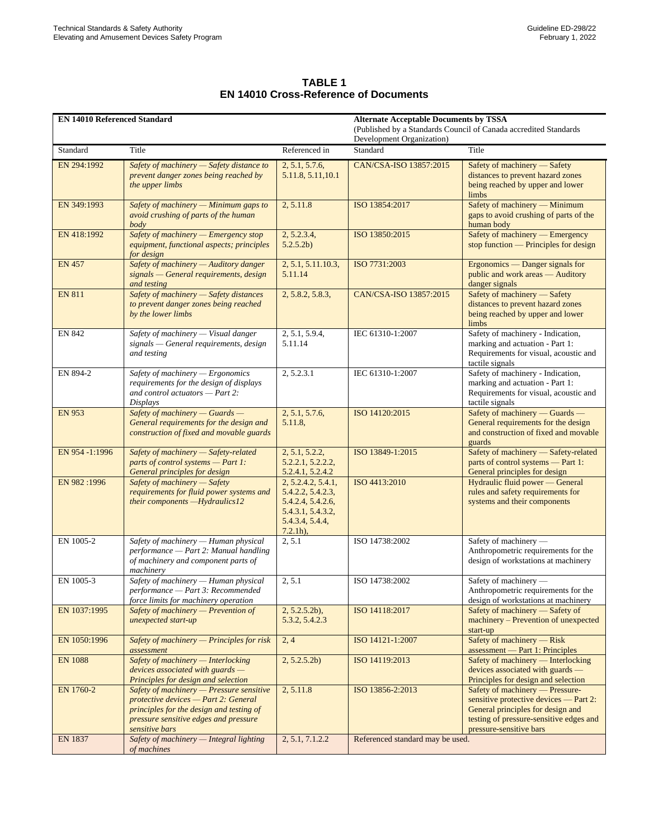| <b>TABLE 1</b>                               |
|----------------------------------------------|
| <b>EN 14010 Cross-Reference of Documents</b> |

| <b>EN 14010 Referenced Standard</b> |                                                                                                                                                                                           |                                                                                                                     | <b>Alternate Acceptable Documents by TSSA</b><br>(Published by a Standards Council of Canada accredited Standards |                                                                                                                                                                                      |
|-------------------------------------|-------------------------------------------------------------------------------------------------------------------------------------------------------------------------------------------|---------------------------------------------------------------------------------------------------------------------|-------------------------------------------------------------------------------------------------------------------|--------------------------------------------------------------------------------------------------------------------------------------------------------------------------------------|
| Standard                            | Title                                                                                                                                                                                     | Referenced in                                                                                                       | Development Organization)<br>Standard                                                                             | Title                                                                                                                                                                                |
| EN 294:1992                         | Safety of machinery - Safety distance to<br>prevent danger zones being reached by<br>the upper limbs                                                                                      | 2, 5.1, 5.7.6,<br>5.11.8, 5.11, 10.1                                                                                | CAN/CSA-ISO 13857:2015                                                                                            | Safety of machinery - Safety<br>distances to prevent hazard zones<br>being reached by upper and lower<br>limbs                                                                       |
| EN 349:1993                         | Safety of machinery - Minimum gaps to<br>avoid crushing of parts of the human<br>body                                                                                                     | 2, 5.11.8                                                                                                           | ISO 13854:2017                                                                                                    | Safety of machinery - Minimum<br>gaps to avoid crushing of parts of the<br>human body                                                                                                |
| EN 418:1992                         | Safety of machinery - Emergency stop<br>equipment, functional aspects; principles<br>for design                                                                                           | 2, 5.2.3.4,<br>5.2.5.2b)                                                                                            | ISO 13850:2015                                                                                                    | Safety of machinery - Emergency<br>stop function — Principles for design                                                                                                             |
| <b>EN 457</b>                       | Safety of machinery - Auditory danger<br>$signals$ - General requirements, design<br>and testing                                                                                          | 2, 5.1, 5.11.10.3,<br>5.11.14                                                                                       | ISO 7731:2003                                                                                                     | Ergonomics — Danger signals for<br>public and work areas - Auditory<br>danger signals                                                                                                |
| <b>EN 811</b>                       | Safety of machinery - Safety distances<br>to prevent danger zones being reached<br>by the lower limbs                                                                                     | 2, 5.8.2, 5.8.3,                                                                                                    | CAN/CSA-ISO 13857:2015                                                                                            | Safety of machinery - Safety<br>distances to prevent hazard zones<br>being reached by upper and lower<br>limbs                                                                       |
| <b>EN 842</b>                       | Safety of machinery - Visual danger<br>signals - General requirements, design<br>and testing                                                                                              | 2, 5.1, 5.9.4,<br>5.11.14                                                                                           | IEC 61310-1:2007                                                                                                  | Safety of machinery - Indication,<br>marking and actuation - Part 1:<br>Requirements for visual, acoustic and<br>tactile signals                                                     |
| EN 894-2                            | Safety of machinery - Ergonomics<br>requirements for the design of displays<br>and control actuators - Part 2:<br>Displays                                                                | 2, 5.2.3.1                                                                                                          | IEC 61310-1:2007                                                                                                  | Safety of machinery - Indication,<br>marking and actuation - Part 1:<br>Requirements for visual, acoustic and<br>tactile signals                                                     |
| <b>EN 953</b>                       | Safety of machinery - Guards -<br>General requirements for the design and<br>construction of fixed and movable guards                                                                     | 2, 5.1, 5.7.6,<br>5.11.8,                                                                                           | ISO 14120:2015                                                                                                    | Safety of machinery - Guards -<br>General requirements for the design<br>and construction of fixed and movable<br>guards                                                             |
| EN 954 -1:1996                      | Safety of machinery - Safety-related<br>parts of control systems - Part 1:<br>General principles for design                                                                               | 2, 5.1, 5.2.2,<br>5.2.2.1, 5.2.2.2,<br>5.2.4.1, 5.2.4.2                                                             | ISO 13849-1:2015                                                                                                  | Safety of machinery - Safety-related<br>parts of control systems - Part 1:<br>General principles for design                                                                          |
| EN 982:1996                         | Safety of machinery - Safety<br>requirements for fluid power systems and<br>their components - Hydraulics12                                                                               | 2, 5.2.4.2, 5.4.1,<br>5.4.2.2, 5.4.2.3,<br>5.4.2.4, 5.4.2.6,<br>5.4.3.1, 5.4.3.2,<br>5.4.3.4, 5.4.4,<br>$7.2.1h$ ), | ISO 4413:2010                                                                                                     | Hydraulic fluid power — General<br>rules and safety requirements for<br>systems and their components                                                                                 |
| EN 1005-2                           | Safety of machinery - Human physical<br>performance - Part 2: Manual handling<br>of machinery and component parts of<br>machinerv                                                         | 2, 5.1                                                                                                              | ISO 14738:2002                                                                                                    | Safety of machinery -<br>Anthropometric requirements for the<br>design of workstations at machinery                                                                                  |
| EN 1005-3                           | Safety of machinery - Human physical<br>performance - Part 3: Recommended<br>force limits for machinery operation                                                                         | 2, 5.1                                                                                                              | ISO 14738:2002                                                                                                    | Safety of machinery -<br>Anthropometric requirements for the<br>design of workstations at machinery                                                                                  |
| EN 1037:1995                        | Safety of machinery $-$ Prevention of<br>unexpected start-up                                                                                                                              | $2, 5.2.5.2b$ ,<br>5.3.2, 5.4.2.3                                                                                   | ISO 14118:2017                                                                                                    | Safety of machinery - Safety of<br>machinery – Prevention of unexpected<br>start-up                                                                                                  |
| EN 1050:1996                        | Safety of machinery - Principles for risk<br>assessment                                                                                                                                   | 2, 4                                                                                                                | ISO 14121-1:2007                                                                                                  | Safety of machinery — Risk<br>assessment — Part 1: Principles                                                                                                                        |
| <b>EN 1088</b>                      | Safety of machinery - Interlocking<br>$devices$ associated with guards $-$<br>Principles for design and selection                                                                         | 2, 5.2.5.2b)                                                                                                        | ISO 14119:2013                                                                                                    | Safety of machinery — Interlocking<br>devices associated with guards -<br>Principles for design and selection                                                                        |
| EN 1760-2                           | Safety of machinery $-$ Pressure sensitive<br>protective devices - Part 2: General<br>principles for the design and testing of<br>pressure sensitive edges and pressure<br>sensitive bars | 2, 5.11.8                                                                                                           | ISO 13856-2:2013                                                                                                  | Safety of machinery — Pressure-<br>sensitive protective devices — Part 2:<br>General principles for design and<br>testing of pressure-sensitive edges and<br>pressure-sensitive bars |
| <b>EN 1837</b>                      | Safety of machinery - Integral lighting<br>of machines                                                                                                                                    | 2, 5.1, 7.1.2.2                                                                                                     | Referenced standard may be used.                                                                                  |                                                                                                                                                                                      |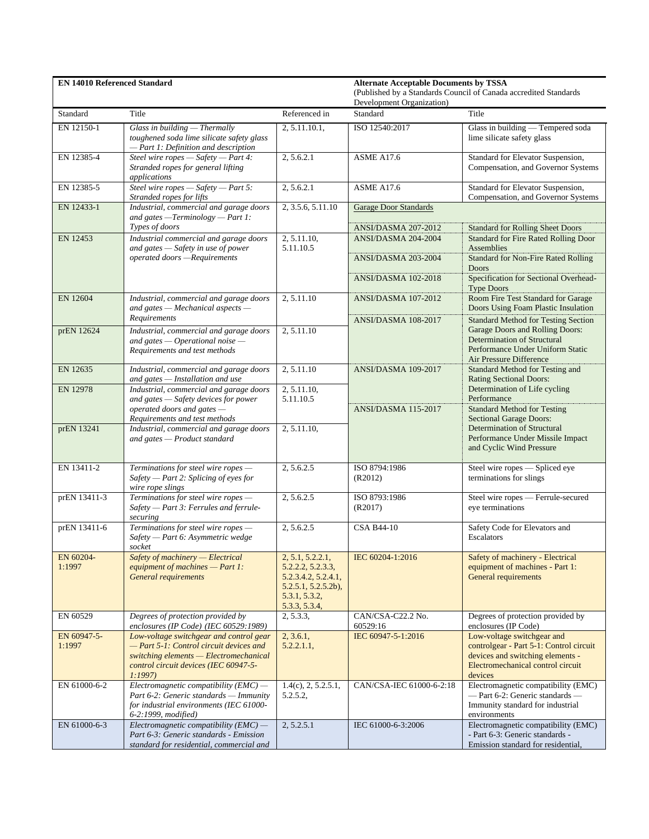| <b>EN 14010 Referenced Standard</b> |                                                                                                                                                                                 |                                                                                                                         | <b>Alternate Acceptable Documents by TSSA</b><br>(Published by a Standards Council of Canada accredited Standards<br>Development Organization) |                                                                                                                                                                                    |
|-------------------------------------|---------------------------------------------------------------------------------------------------------------------------------------------------------------------------------|-------------------------------------------------------------------------------------------------------------------------|------------------------------------------------------------------------------------------------------------------------------------------------|------------------------------------------------------------------------------------------------------------------------------------------------------------------------------------|
| Standard                            | Title                                                                                                                                                                           | Referenced in                                                                                                           | Standard                                                                                                                                       | Title                                                                                                                                                                              |
| EN 12150-1                          | Glass in building - Thermally<br>toughened soda lime silicate safety glass<br>- Part 1: Definition and description                                                              | 2, 5.11.10.1,                                                                                                           | ISO 12540:2017                                                                                                                                 | Glass in building - Tempered soda<br>lime silicate safety glass                                                                                                                    |
| EN 12385-4                          | Steel wire ropes - Safety - Part 4:<br>Stranded ropes for general lifting<br>applications                                                                                       | 2, 5.6.2.1                                                                                                              | <b>ASME A17.6</b>                                                                                                                              | Standard for Elevator Suspension,<br>Compensation, and Governor Systems                                                                                                            |
| EN 12385-5                          | Steel wire ropes $-Safety$ - Part 5:<br>Stranded ropes for lifts                                                                                                                | 2, 5.6.2.1                                                                                                              | <b>ASME A17.6</b>                                                                                                                              | Standard for Elevator Suspension,<br>Compensation, and Governor Systems                                                                                                            |
| EN 12433-1                          | Industrial, commercial and garage doors<br>and gates - Terminology - Part 1:                                                                                                    | 2, 3.5.6, 5.11.10                                                                                                       | <b>Garage Door Standards</b>                                                                                                                   |                                                                                                                                                                                    |
| EN 12453                            | Types of doors<br>Industrial commercial and garage doors<br>and gates - Safety in use of power<br>operated doors -Requirements                                                  | 2, 5.11.10,<br>5.11.10.5                                                                                                | ANSI/DASMA 207-2012<br>ANSI/DASMA 204-2004                                                                                                     | <b>Standard for Rolling Sheet Doors</b><br><b>Standard for Fire Rated Rolling Door</b><br>Assemblies                                                                               |
|                                     |                                                                                                                                                                                 |                                                                                                                         | ANSI/DASMA 203-2004                                                                                                                            | <b>Standard for Non-Fire Rated Rolling</b><br><b>Doors</b>                                                                                                                         |
|                                     |                                                                                                                                                                                 |                                                                                                                         | <b>ANSI/DASMA 102-2018</b>                                                                                                                     | Specification for Sectional Overhead-<br><b>Type Doors</b>                                                                                                                         |
| EN 12604                            | Industrial, commercial and garage doors<br>and gates - Mechanical aspects -<br>Requirements                                                                                     | 2, 5.11.10                                                                                                              | ANSI/DASMA 107-2012                                                                                                                            | Room Fire Test Standard for Garage<br>Doors Using Foam Plastic Insulation                                                                                                          |
| prEN 12624                          | Industrial, commercial and garage doors<br>and gates $-$ Operational noise $-$<br>Requirements and test methods                                                                 | 2, 5.11.10                                                                                                              | ANSI/DASMA 108-2017                                                                                                                            | <b>Standard Method for Testing Section</b><br>Garage Doors and Rolling Doors:<br><b>Determination of Structural</b><br>Performance Under Uniform Static<br>Air Pressure Difference |
| EN 12635                            | Industrial, commercial and garage doors<br>and gates - Installation and use                                                                                                     | 2, 5.11.10                                                                                                              | ANSI/DASMA 109-2017                                                                                                                            | Standard Method for Testing and<br><b>Rating Sectional Doors:</b>                                                                                                                  |
| <b>EN 12978</b>                     | Industrial, commercial and garage doors<br>and gates - Safety devices for power<br>operated doors and gates -                                                                   | 2, 5.11.10,<br>5.11.10.5                                                                                                | <b>ANSI/DASMA 115-2017</b>                                                                                                                     | Determination of Life cycling<br>Performance<br><b>Standard Method for Testing</b>                                                                                                 |
| prEN 13241                          | Requirements and test methods<br>Industrial, commercial and garage doors<br>and gates - Product standard                                                                        | 2, 5.11.10,                                                                                                             |                                                                                                                                                | <b>Sectional Garage Doors:</b><br><b>Determination of Structural</b><br>Performance Under Missile Impact<br>and Cyclic Wind Pressure                                               |
| EN 13411-2                          | Terminations for steel wire ropes -<br>Safety - Part 2: Splicing of eyes for<br>wire rope slings                                                                                | 2, 5.6.2.5                                                                                                              | ISO 8794:1986<br>(R2012)                                                                                                                       | Steel wire ropes - Spliced eye<br>terminations for slings                                                                                                                          |
| prEN 13411-3                        | Terminations for steel wire ropes -<br>Safety - Part 3: Ferrules and ferrule-<br>securing                                                                                       | 2, 5.6.2.5                                                                                                              | ISO 8793:1986<br>(R2017)                                                                                                                       | Steel wire ropes - Ferrule-secured<br>eye terminations                                                                                                                             |
| prEN 13411-6                        | Terminations for steel wire ropes -<br>Safety - Part 6: Asymmetric wedge<br>socket                                                                                              | 2.5.6.2.5                                                                                                               | <b>CSA B44-10</b>                                                                                                                              | Safety Code for Elevators and<br>Escalators                                                                                                                                        |
| EN 60204-<br>1:1997                 | Safety of machinery — Electrical<br>equipment of machines $-$ Part 1:<br>General requirements                                                                                   | 2, 5.1, 5.2.2.1,<br>5.2.2.2, 5.2.3.3,<br>5.2.3.4.2, 5.2.4.1,<br>$5.2.5.1, 5.2.5.2b$ ,<br>5.3.1, 5.3.2,<br>5.3.3, 5.3.4, | IEC 60204-1:2016                                                                                                                               | Safety of machinery - Electrical<br>equipment of machines - Part 1:<br>General requirements                                                                                        |
| EN 60529                            | Degrees of protection provided by<br>enclosures (IP Code) (IEC 60529:1989)                                                                                                      | 2, 5.3.3,                                                                                                               | CAN/CSA-C22.2 No.<br>60529:16                                                                                                                  | Degrees of protection provided by<br>enclosures (IP Code)                                                                                                                          |
| EN 60947-5-<br>1:1997               | Low-voltage switchgear and control gear<br>- Part 5-1: Control circuit devices and<br>switching elements - Electromechanical<br>control circuit devices (IEC 60947-5-<br>1:1997 | 2, 3.6.1,<br>5.2.2.1.1,                                                                                                 | IEC 60947-5-1:2016                                                                                                                             | Low-voltage switchgear and<br>controlgear - Part 5-1: Control circuit<br>devices and switching elements -<br>Electromechanical control circuit<br>devices                          |
| EN 61000-6-2                        | Electromagnetic compatibility $(EMC)$ —<br>Part 6-2: Generic standards - Immunity<br>for industrial environments (IEC 61000-<br>6-2:1999, modified)                             | $1.4(c)$ , 2, 5.2.5.1,<br>5.2.5.2,                                                                                      | CAN/CSA-IEC 61000-6-2:18                                                                                                                       | Electromagnetic compatibility (EMC)<br>- Part 6-2: Generic standards -<br>Immunity standard for industrial<br>environments                                                         |
| EN 61000-6-3                        | Electromagnetic compatibility $(EMC)$ -<br>Part 6-3: Generic standards - Emission<br>standard for residential, commercial and                                                   | 2, 5.2.5.1                                                                                                              | IEC 61000-6-3:2006                                                                                                                             | Electromagnetic compatibility (EMC)<br>- Part 6-3: Generic standards -<br>Emission standard for residential,                                                                       |